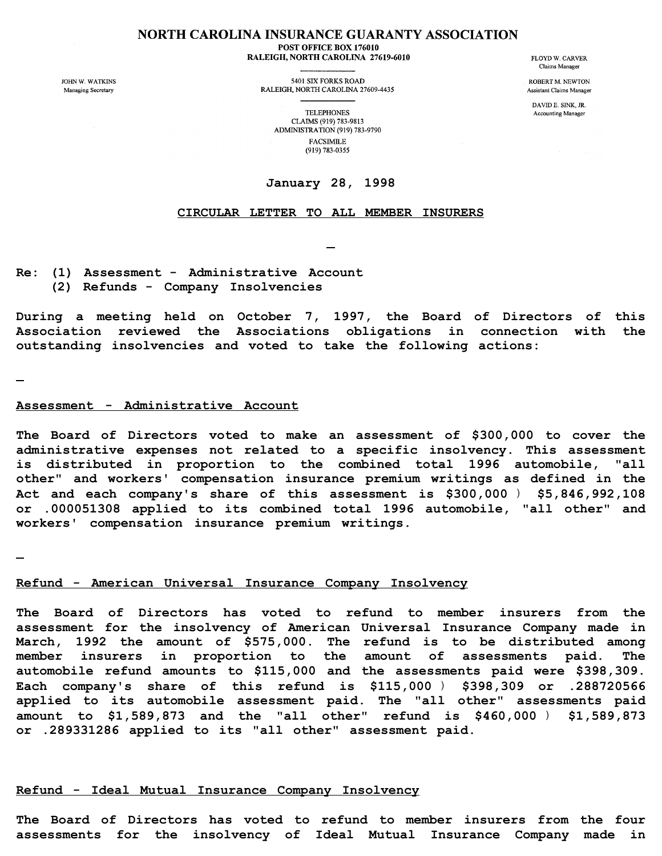#### NORTH CAROLINA INSURANCE GUARANTY ASSOCIATION POST OFFICE BOX 176010 RALEIGH, NORTH CAROLINA 27619-6010

**JOHN W WATKINS** Managing Secretary

5401 SIX FORKS ROAD RALEIGH, NORTH CAROLINA 27609-4435 **FLOYD W. CARVER** Claims Manager

ROBERT M NEWTON Assistant Claims Manager

DAVID E. SINK. JR. Accounting Manager

**TELEPHONES** CLAIMS (919) 783-9813 ADMINISTRATION (919) 783-9790 **FACSIMILE** (919) 783-0355

### **January 28, 1998**

# **CIRCULAR LETTER TO ALL MEMBER INSURERS**

**Re: (1) Assessment - Administrative Account (2) Refunds - Company Insolvencies**

**During a meeting held on October 7, 1997, the Board of Directors of this Association reviewed the Associations obligations in connection with the outstanding insolvencies and voted to take the following actions:**

### **Assessment - Administrative Account**

**The Board of Directors voted to make an assessment of \$300,000 to cover the administrative expenses not related to a specific insolvency. This assessment is distributed in proportion to the combined total 1996 automobile, "all other" and workers' compensation insurance premium writings as defined in the Act and each company's share of this assessment is \$300,000** ) **\$5,846,992,108 or .000051308 applied to its combined total 1996 automobile, "all other" and workers' compensation insurance premium writings.**

# **Refund - American Universal Insurance Company Insolvency**

**The Board of Directors has voted to refund to member insurers from the assessment for the insolvency of American Universal Insurance Company made in March, 1992 the amount of \$575,000. The refund is to be distributed among member insurers in proportion to the amount of assessments paid. The automobile refund amounts to \$115,000 and the assessments paid were \$398,309. Each company's share of this refund is \$115,000** ) **\$398,309 or .288720566 applied to its automobile assessment paid. The "all other" assessments paid amount to \$1,589,873 and the "all other" refund is \$460,000** ) **\$1,589,873 or .289331286 applied to its "all other" assessment paid.**

#### **Refund - Ideal Mutual Insurance Company Insolvency**

**The Board of Directors has voted to refund to member insurers from the four assessments for the insolvency of Ideal Mutual Insurance Company made in**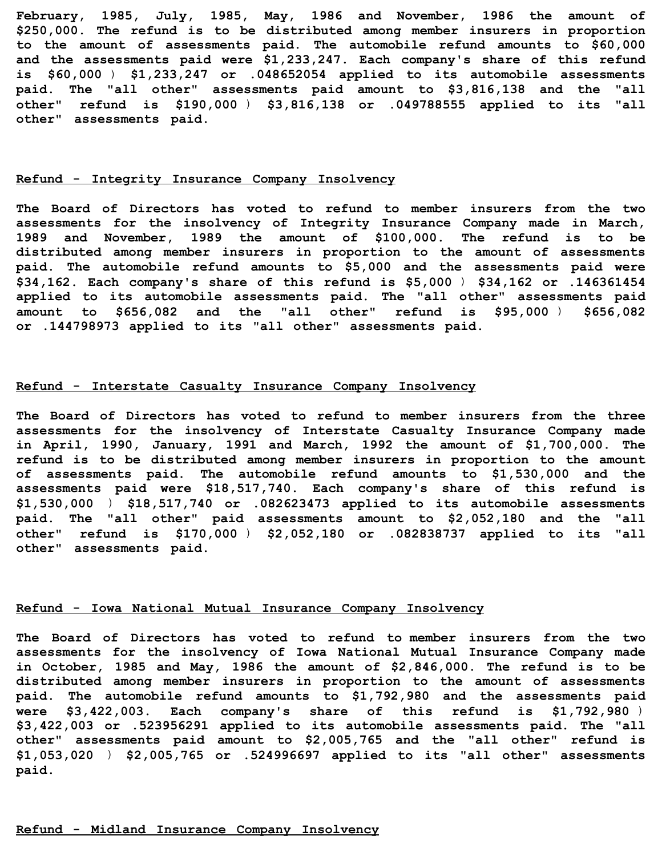**February, 1985, July, 1985, May, 1986 and November, 1986 the amount of \$250,000. The refund is to be distributed among member insurers in proportion to the amount of assessments paid. The automobile refund amounts to \$60,000 and the assessments paid were \$1,233,247. Each company's share of this refund is \$60,000** ) **\$1,233,247 or .048652054 applied to its automobile assessments paid. The "all other" assessments paid amount to \$3,816,138 and the "all other" refund is \$190,000** ) **\$3,816,138 or .049788555 applied to its "all other" assessments paid.**

### **Refund - Integrity Insurance Company Insolvency**

**The Board of Directors has voted to refund to member insurers from the two assessments for the insolvency of Integrity Insurance Company made in March, 1989 and November, 1989 the amount of \$100,000. The refund is to be distributed among member insurers in proportion to the amount of assessments paid. The automobile refund amounts to \$5,000 and the assessments paid were \$34,162. Each company's share of this refund is \$5,000** ) **\$34,162 or .146361454 applied to its automobile assessments paid. The "all other" assessments paid amount to \$656,082 and the "all other" refund is \$95,000** ) **\$656,082 or .144798973 applied to its "all other" assessments paid.**

# **Refund - Interstate Casualty Insurance Company Insolvency**

**The Board of Directors has voted to refund to member insurers from the three assessments for the insolvency of Interstate Casualty Insurance Company made in April, 1990, January, 1991 and March, 1992 the amount of \$1,700,000. The refund is to be distributed among member insurers in proportion to the amount of assessments paid. The automobile refund amounts to \$1,530,000 and the assessments paid were \$18,517,740. Each company's share of this refund is \$1,530,000** ) **\$18,517,740 or .082623473 applied to its automobile assessments paid. The "all other" paid assessments amount to \$2,052,180 and the "all other" refund is \$170,000** ) **\$2,052,180 or .082838737 applied to its "all other" assessments paid.**

# **Refund - Iowa National Mutual Insurance Company Insolvency**

**The Board of Directors has voted to refund to member insurers from the two assessments for the insolvency of Iowa National Mutual Insurance Company made in October, 1985 and May, 1986 the amount of \$2,846,000. The refund is to be distributed among member insurers in proportion to the amount of assessments paid. The automobile refund amounts to \$1,792,980 and the assessments paid were \$3,422,003. Each company's share of this refund is \$1,792,980** ) **\$3,422,003 or .523956291 applied to its automobile assessments paid. The "all other" assessments paid amount to \$2,005,765 and the "all other" refund is \$1,053,020** ) **\$2,005,765 or .524996697 applied to its "all other" assessments paid.**

### **Refund - Midland Insurance Company Insolvency**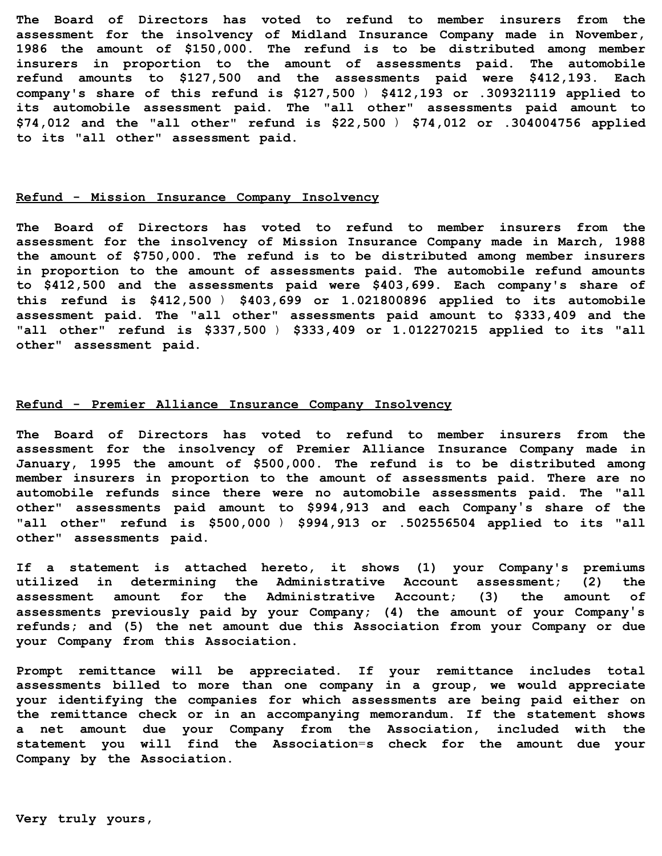**The Board of Directors has voted to refund to member insurers from the assessment for the insolvency of Midland Insurance Company made in November, 1986 the amount of \$150,000. The refund is to be distributed among member insurers in proportion to the amount of assessments paid. The automobile refund amounts to \$127,500 and the assessments paid were \$412,193. Each company's share of this refund is \$127,500** ) **\$412,193 or .309321119 applied to its automobile assessment paid. The "all other" assessments paid amount to \$74,012 and the "all other" refund is \$22,500** ) **\$74,012 or .304004756 applied to its "all other" assessment paid.**

### **Refund - Mission Insurance Company Insolvency**

**The Board of Directors has voted to refund to member insurers from the assessment for the insolvency of Mission Insurance Company made in March, 1988 the amount of \$750,000. The refund is to be distributed among member insurers in proportion to the amount of assessments paid. The automobile refund amounts to \$412,500 and the assessments paid were \$403,699. Each company's share of this refund is \$412,500** ) **\$403,699 or 1.021800896 applied to its automobile assessment paid. The "all other" assessments paid amount to \$333,409 and the "all other" refund is \$337,500** ) **\$333,409 or 1.012270215 applied to its "all other" assessment paid.**

# **Refund - Premier Alliance Insurance Company Insolvency**

**The Board of Directors has voted to refund to member insurers from the assessment for the insolvency of Premier Alliance Insurance Company made in January, 1995 the amount of \$500,000. The refund is to be distributed among member insurers in proportion to the amount of assessments paid. There are no automobile refunds since there were no automobile assessments paid. The "all other" assessments paid amount to \$994,913 and each Company**'**s share of the "all other" refund is \$500,000** ) **\$994,913 or .502556504 applied to its "all other" assessments paid.**

**If a statement is attached hereto, it shows (1) your Company's premiums utilized in determining the Administrative Account assessment; (2) the assessment amount for the Administrative Account; (3) the amount of assessments previously paid by your Company; (4) the amount of your Company**'**s refunds; and (5) the net amount due this Association from your Company or due your Company from this Association.**

**Prompt remittance will be appreciated. If your remittance includes total assessments billed to more than one company in a group, we would appreciate your identifying the companies for which assessments are being paid either on the remittance check or in an accompanying memorandum. If the statement shows a net amount due your Company from the Association, included with the statement you will find the Association**=**s check for the amount due your Company by the Association.**